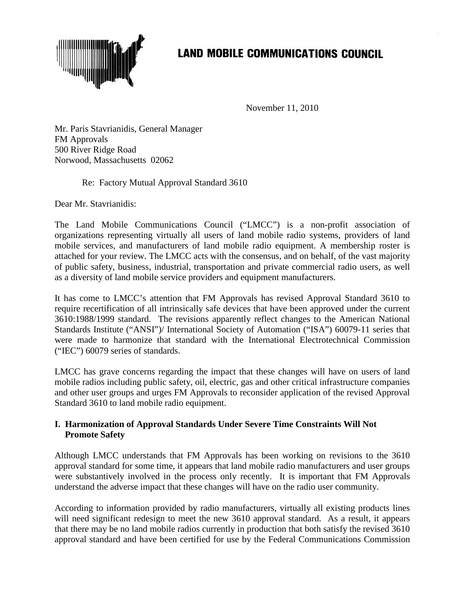

## **LAND MOBILE COMMUNICATIONS COUNCIL**

November 11, 2010

Mr. Paris Stavrianidis, General Manager FM Approvals 500 River Ridge Road Norwood, Massachusetts 02062

Re: Factory Mutual Approval Standard 3610

Dear Mr. Stavrianidis:

The Land Mobile Communications Council ("LMCC") is a non-profit association of organizations representing virtually all users of land mobile radio systems, providers of land mobile services, and manufacturers of land mobile radio equipment. A membership roster is attached for your review. The LMCC acts with the consensus, and on behalf, of the vast majority of public safety, business, industrial, transportation and private commercial radio users, as well as a diversity of land mobile service providers and equipment manufacturers.

It has come to LMCC's attention that FM Approvals has revised Approval Standard 3610 to require recertification of all intrinsically safe devices that have been approved under the current 3610:1988/1999 standard. The revisions apparently reflect changes to the American National Standards Institute ("ANSI")/ International Society of Automation ("ISA") 60079-11 series that were made to harmonize that standard with the International Electrotechnical Commission ("IEC") 60079 series of standards.

LMCC has grave concerns regarding the impact that these changes will have on users of land mobile radios including public safety, oil, electric, gas and other critical infrastructure companies and other user groups and urges FM Approvals to reconsider application of the revised Approval Standard 3610 to land mobile radio equipment.

## **I. Harmonization of Approval Standards Under Severe Time Constraints Will Not Promote Safety**

Although LMCC understands that FM Approvals has been working on revisions to the 3610 approval standard for some time, it appears that land mobile radio manufacturers and user groups were substantively involved in the process only recently. It is important that FM Approvals understand the adverse impact that these changes will have on the radio user community.

According to information provided by radio manufacturers, virtually all existing products lines will need significant redesign to meet the new 3610 approval standard. As a result, it appears that there may be no land mobile radios currently in production that both satisfy the revised 3610 approval standard and have been certified for use by the Federal Communications Commission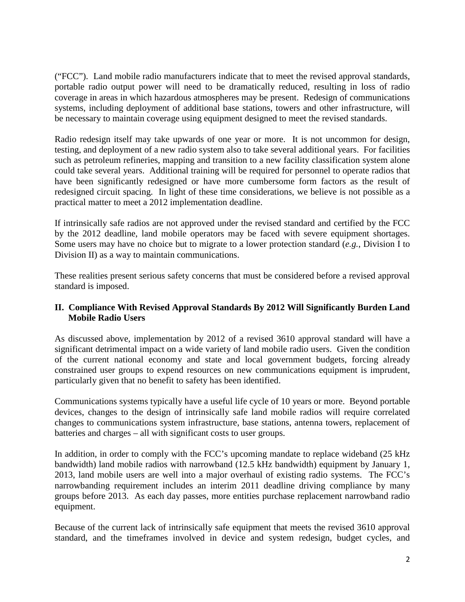("FCC"). Land mobile radio manufacturers indicate that to meet the revised approval standards, portable radio output power will need to be dramatically reduced, resulting in loss of radio coverage in areas in which hazardous atmospheres may be present. Redesign of communications systems, including deployment of additional base stations, towers and other infrastructure, will be necessary to maintain coverage using equipment designed to meet the revised standards.

Radio redesign itself may take upwards of one year or more. It is not uncommon for design, testing, and deployment of a new radio system also to take several additional years. For facilities such as petroleum refineries, mapping and transition to a new facility classification system alone could take several years. Additional training will be required for personnel to operate radios that have been significantly redesigned or have more cumbersome form factors as the result of redesigned circuit spacing. In light of these time considerations, we believe is not possible as a practical matter to meet a 2012 implementation deadline.

If intrinsically safe radios are not approved under the revised standard and certified by the FCC by the 2012 deadline, land mobile operators may be faced with severe equipment shortages. Some users may have no choice but to migrate to a lower protection standard (*e.g.*, Division I to Division II) as a way to maintain communications.

These realities present serious safety concerns that must be considered before a revised approval standard is imposed.

## **II. Compliance With Revised Approval Standards By 2012 Will Significantly Burden Land Mobile Radio Users**

As discussed above, implementation by 2012 of a revised 3610 approval standard will have a significant detrimental impact on a wide variety of land mobile radio users. Given the condition of the current national economy and state and local government budgets, forcing already constrained user groups to expend resources on new communications equipment is imprudent, particularly given that no benefit to safety has been identified.

Communications systems typically have a useful life cycle of 10 years or more. Beyond portable devices, changes to the design of intrinsically safe land mobile radios will require correlated changes to communications system infrastructure, base stations, antenna towers, replacement of batteries and charges – all with significant costs to user groups.

In addition, in order to comply with the FCC's upcoming mandate to replace wideband (25 kHz bandwidth) land mobile radios with narrowband (12.5 kHz bandwidth) equipment by January 1, 2013, land mobile users are well into a major overhaul of existing radio systems. The FCC's narrowbanding requirement includes an interim 2011 deadline driving compliance by many groups before 2013. As each day passes, more entities purchase replacement narrowband radio equipment.

Because of the current lack of intrinsically safe equipment that meets the revised 3610 approval standard, and the timeframes involved in device and system redesign, budget cycles, and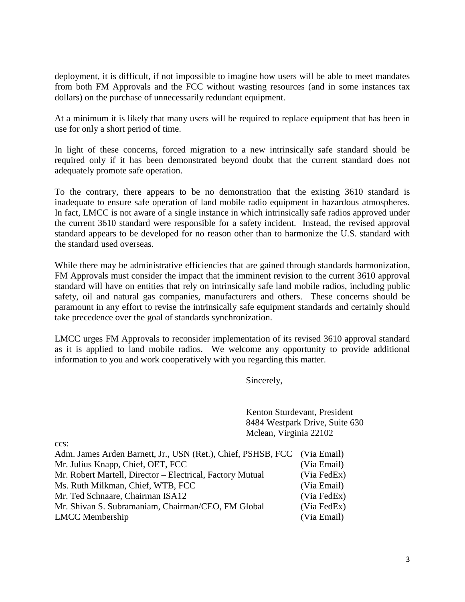deployment, it is difficult, if not impossible to imagine how users will be able to meet mandates from both FM Approvals and the FCC without wasting resources (and in some instances tax dollars) on the purchase of unnecessarily redundant equipment.

At a minimum it is likely that many users will be required to replace equipment that has been in use for only a short period of time.

In light of these concerns, forced migration to a new intrinsically safe standard should be required only if it has been demonstrated beyond doubt that the current standard does not adequately promote safe operation.

To the contrary, there appears to be no demonstration that the existing 3610 standard is inadequate to ensure safe operation of land mobile radio equipment in hazardous atmospheres. In fact, LMCC is not aware of a single instance in which intrinsically safe radios approved under the current 3610 standard were responsible for a safety incident. Instead, the revised approval standard appears to be developed for no reason other than to harmonize the U.S. standard with the standard used overseas.

While there may be administrative efficiencies that are gained through standards harmonization, FM Approvals must consider the impact that the imminent revision to the current 3610 approval standard will have on entities that rely on intrinsically safe land mobile radios, including public safety, oil and natural gas companies, manufacturers and others. These concerns should be paramount in any effort to revise the intrinsically safe equipment standards and certainly should take precedence over the goal of standards synchronization.

LMCC urges FM Approvals to reconsider implementation of its revised 3610 approval standard as it is applied to land mobile radios. We welcome any opportunity to provide additional information to you and work cooperatively with you regarding this matter.

Sincerely,

Kenton Sturdevant, President 8484 Westpark Drive, Suite 630 Mclean, Virginia 22102

Adm. James Arden Barnett, Jr., USN (Ret.), Chief, PSHSB, FCC (Via Email) Mr. Julius Knapp, Chief, OET, FCC (Via Email) Mr. Robert Martell, Director – Electrical, Factory Mutual (Via FedEx) Ms. Ruth Milkman, Chief, WTB, FCC (Via Email) Mr. Ted Schnaare, Chairman ISA12 (Via FedEx) Mr. Shivan S. Subramaniam, Chairman/CEO, FM Global (Via FedEx) LMCC Membership (Via Email)

ccs: